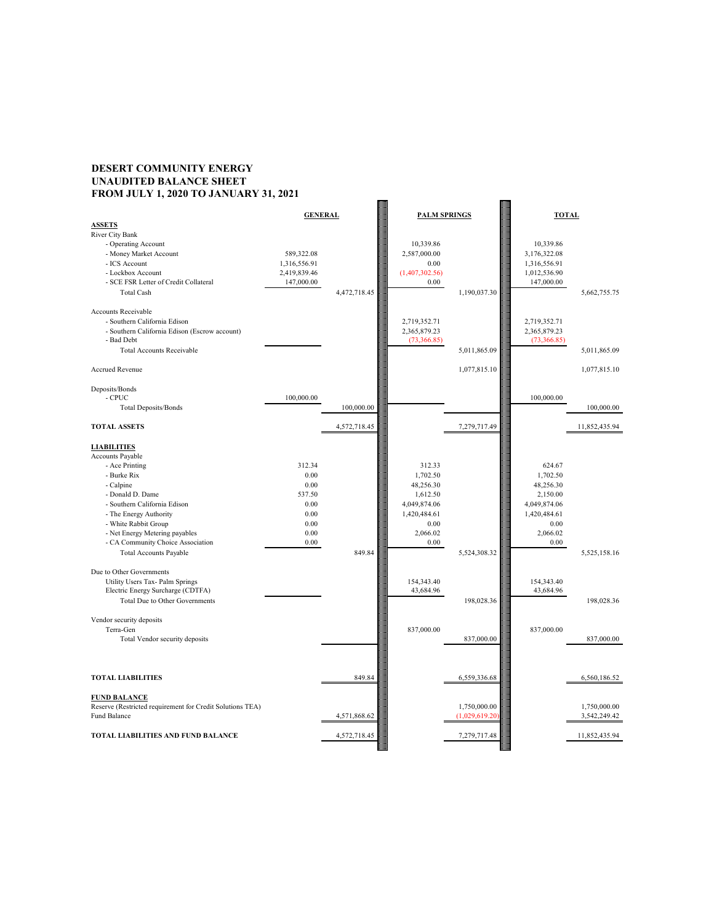# **DESERT COMMUNITY ENERGY UNAUDITED BALANCE SHEET FROM JULY 1, 2020 TO JANUARY 31, 2021**



|                                               | <b>GENERAL</b> |              | <b>PALM SPRINGS</b> |              | <b>TOTAL</b> |              |               |
|-----------------------------------------------|----------------|--------------|---------------------|--------------|--------------|--------------|---------------|
| <b>ASSETS</b>                                 |                |              |                     |              |              |              |               |
| River City Bank                               |                |              |                     |              |              |              |               |
| - Operating Account                           |                |              | 10,339.86           |              |              | 10,339.86    |               |
| - Money Market Account                        | 589,322.08     |              | 2,587,000.00        |              |              | 3,176,322.08 |               |
| - ICS Account                                 | 1,316,556.91   |              | 0.00                |              |              | 1,316,556.91 |               |
| - Lockbox Account                             | 2,419,839.46   |              | (1,407,302.56)      |              |              | 1,012,536.90 |               |
| - SCE FSR Letter of Credit Collateral         | 147,000.00     |              | 0.00                |              |              | 147,000.00   |               |
| <b>Total Cash</b>                             |                | 4,472,718.45 |                     | 1,190,037.30 |              |              | 5,662,755.75  |
|                                               |                |              |                     |              |              |              |               |
| <b>Accounts Receivable</b>                    |                |              |                     |              |              |              |               |
| - Southern California Edison                  |                |              | 2,719,352.71        |              |              | 2,719,352.71 |               |
| - Southern California Edison (Escrow account) |                |              | 2,365,879.23        |              |              | 2,365,879.23 |               |
| - Bad Debt                                    |                |              | (73,366.85)         |              |              | (73,366.85)  |               |
| <b>Total Accounts Receivable</b>              |                |              |                     | 5,011,865.09 |              |              | 5,011,865.09  |
|                                               |                |              |                     |              |              |              |               |
| <b>Accrued Revenue</b>                        |                |              |                     | 1,077,815.10 |              |              | 1,077,815.10  |
|                                               |                |              |                     |              |              |              |               |
| Deposits/Bonds                                |                |              |                     |              |              |              |               |
| - CPUC                                        | 100,000.00     |              |                     |              |              | 100,000.00   |               |
| <b>Total Deposits/Bonds</b>                   |                | 100,000.00   |                     |              |              |              | 100,000.00    |
|                                               |                |              |                     |              |              |              |               |
| <b>TOTAL ASSETS</b>                           |                | 4,572,718.45 |                     | 7,279,717.49 |              |              | 11,852,435.94 |
|                                               |                |              |                     |              |              |              |               |
| <b>LIABILITIES</b>                            |                |              |                     |              |              |              |               |
| <b>Accounts Payable</b>                       |                |              |                     |              |              |              |               |
| - Ace Printing                                | 312.34         |              | 312.33              |              |              | 624.67       |               |
| - Burke Rix                                   | 0.00           |              | 1,702.50            |              |              | 1,702.50     |               |
| - Calpine                                     | 0.00           |              | 48,256.30           |              |              | 48,256.30    |               |
| - Donald D. Dame                              | 537.50         |              | 1,612.50            |              |              | 2,150.00     |               |
| - Southern California Edison                  | 0.00           |              | 4,049,874.06        |              |              | 4,049,874.06 |               |
| - The Energy Authority                        | 0.00           |              | 1,420,484.61        |              |              | 1,420,484.61 |               |
| - White Rabbit Group                          | 0.00           |              | 0.00                |              |              | 0.00         |               |
| - Net Energy Metering payables                | 0.00           |              | 2,066.02            |              |              | 2,066.02     |               |
| - CA Community Choice Association             | 0.00           |              | 0.00                |              |              | 0.00         |               |
| <b>Total Accounts Payable</b>                 |                | 849.84       |                     | 5,524,308.32 |              |              | 5,525,158.16  |
|                                               |                |              |                     |              |              |              |               |
| Due to Other Governments                      |                |              |                     |              |              |              |               |
| Utility Users Tax- Palm Springs               |                |              | 154,343.40          |              |              | 154,343.40   |               |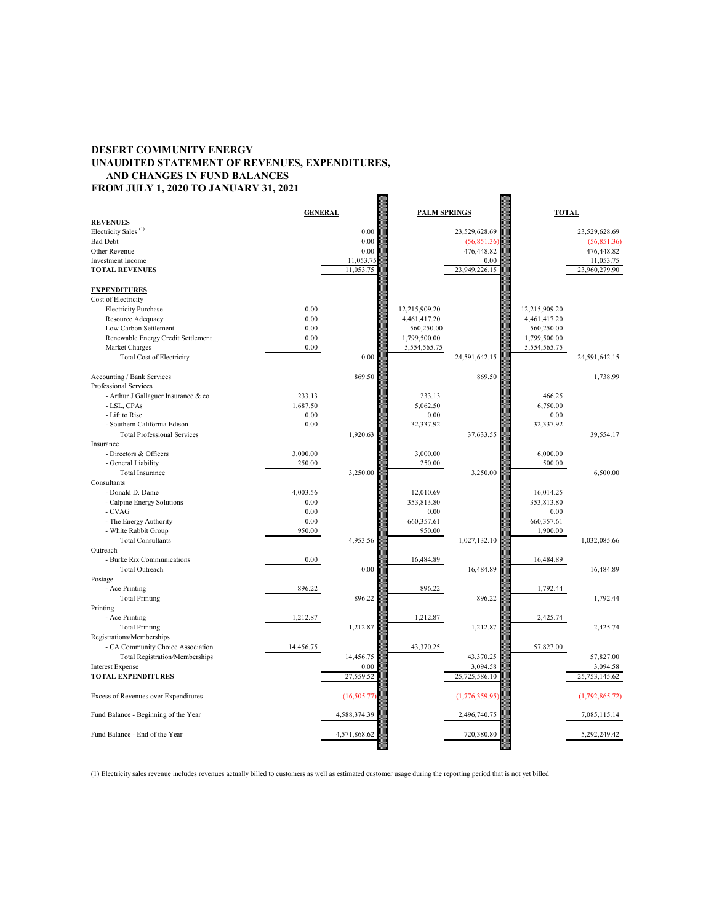# **DESERT COMMUNITY ENERGY UNAUDITED STATEMENT OF REVENUES, EXPENDITURES, AND CHANGES IN FUND BALANCES FROM JULY 1, 2020 TO JANUARY 31, 2021**

| <b>GENERAL</b><br><b>PALM SPRINGS</b><br><b>TOTAL</b><br><b>REVENUES</b><br>Electricity Sales <sup>(1)</sup><br>0.00<br>23,529,628.69<br>23,529,628.69<br><b>Bad Debt</b><br>0.00<br>(56,851.36)<br>(56,851.36)<br>Other Revenue<br>0.00<br>476,448.82<br>476,448.82<br><b>Investment Income</b><br>11,053.75<br>0.00<br>11,053.75<br>11,053.75<br>23,949,226.15<br>23,960,279.90<br><b>TOTAL REVENUES</b><br><b>EXPENDITURES</b><br>Cost of Electricity<br><b>Electricity Purchase</b><br>0.00<br>12,215,909.20<br>12,215,909.20<br>0.00<br>Resource Adequacy<br>4,461,417.20<br>4,461,417.20<br>Low Carbon Settlement<br>0.00<br>560,250.00<br>560,250.00<br>0.00<br>Renewable Energy Credit Settlement<br>1,799,500.00<br>1,799,500.00<br>Market Charges<br>0.00<br>5,554,565.75<br>5,554,565.75<br>0.00<br>Total Cost of Electricity<br>24,591,642.15<br>24,591,642.15<br>869.50<br>869.50<br>1,738.99<br>Accounting / Bank Services<br>Professional Services<br>233.13<br>233.13<br>466.25<br>- Arthur J Gallaguer Insurance & co<br>- LSL, CPAs<br>1,687.50<br>5,062.50<br>6,750.00<br>- Lift to Rise<br>0.00<br>0.00<br>0.00<br>- Southern California Edison<br>0.00<br>32,337.92<br>32,337.92<br>1,920.63<br>37,633.55<br>39,554.17<br><b>Total Professional Services</b><br>Insurance<br>- Directors & Officers<br>3,000.00<br>3,000.00<br>6,000.00<br>- General Liability<br>250.00<br>250.00<br>500.00<br><b>Total Insurance</b><br>3,250.00<br>3,250.00<br>6,500.00<br>Consultants<br>- Donald D. Dame<br>4,003.56<br>12,010.69<br>16,014.25<br>- Calpine Energy Solutions<br>0.00<br>353,813.80<br>353,813.80<br>$0.00\,$<br>0.00<br>0.00<br>- CVAG<br>0.00<br>- The Energy Authority<br>660,357.61<br>660,357.61<br>- White Rabbit Group<br>950.00<br>950.00<br>1,900.00<br>4,953.56<br><b>Total Consultants</b><br>1,027,132.10<br>1,032,085.66<br>Outreach<br>- Burke Rix Communications<br>0.00<br>16,484.89<br>16,484.89<br>0.00<br><b>Total Outreach</b><br>16,484.89<br>16,484.89<br>Postage<br>- Ace Printing<br>896.22<br>896.22<br>1,792.44<br>896.22<br>896.22<br>1,792.44<br><b>Total Printing</b><br>Printing<br>- Ace Printing<br>1,212.87<br>1,212.87<br>2,425.74<br><b>Total Printing</b><br>1,212.87<br>1,212.87<br>2,425.74<br>Registrations/Memberships<br>- CA Community Choice Association<br>57,827.00<br>14,456.75<br>43,370.25<br>14,456.75<br><b>Total Registration/Memberships</b><br>43,370.25<br>57,827.00<br><b>Interest Expense</b><br>0.00<br>3,094.58<br>3,094.58<br>27,559.52<br>25,725,586.10<br>25, 753, 145. 62<br><b>TOTAL EXPENDITURES</b><br>(16,505.77)<br>(1,776,359.95)<br>Excess of Revenues over Expenditures<br>(1,792,865.72)<br>4,588,374.39<br>7,085,115.14<br>Fund Balance - Beginning of the Year<br>2,496,740.75<br>Fund Balance - End of the Year<br>4,571,868.62<br>720,380.80<br>5,292,249.42 |  |  |  |  |
|------------------------------------------------------------------------------------------------------------------------------------------------------------------------------------------------------------------------------------------------------------------------------------------------------------------------------------------------------------------------------------------------------------------------------------------------------------------------------------------------------------------------------------------------------------------------------------------------------------------------------------------------------------------------------------------------------------------------------------------------------------------------------------------------------------------------------------------------------------------------------------------------------------------------------------------------------------------------------------------------------------------------------------------------------------------------------------------------------------------------------------------------------------------------------------------------------------------------------------------------------------------------------------------------------------------------------------------------------------------------------------------------------------------------------------------------------------------------------------------------------------------------------------------------------------------------------------------------------------------------------------------------------------------------------------------------------------------------------------------------------------------------------------------------------------------------------------------------------------------------------------------------------------------------------------------------------------------------------------------------------------------------------------------------------------------------------------------------------------------------------------------------------------------------------------------------------------------------------------------------------------------------------------------------------------------------------------------------------------------------------------------------------------------------------------------------------------------------------------------------------------------------------------------------------------------------------------------------------------------------------------------------------------------------------------------------------------------------------------------------------------------------------------------------------------------------------------------------------------------|--|--|--|--|
|                                                                                                                                                                                                                                                                                                                                                                                                                                                                                                                                                                                                                                                                                                                                                                                                                                                                                                                                                                                                                                                                                                                                                                                                                                                                                                                                                                                                                                                                                                                                                                                                                                                                                                                                                                                                                                                                                                                                                                                                                                                                                                                                                                                                                                                                                                                                                                                                                                                                                                                                                                                                                                                                                                                                                                                                                                                                  |  |  |  |  |
|                                                                                                                                                                                                                                                                                                                                                                                                                                                                                                                                                                                                                                                                                                                                                                                                                                                                                                                                                                                                                                                                                                                                                                                                                                                                                                                                                                                                                                                                                                                                                                                                                                                                                                                                                                                                                                                                                                                                                                                                                                                                                                                                                                                                                                                                                                                                                                                                                                                                                                                                                                                                                                                                                                                                                                                                                                                                  |  |  |  |  |
|                                                                                                                                                                                                                                                                                                                                                                                                                                                                                                                                                                                                                                                                                                                                                                                                                                                                                                                                                                                                                                                                                                                                                                                                                                                                                                                                                                                                                                                                                                                                                                                                                                                                                                                                                                                                                                                                                                                                                                                                                                                                                                                                                                                                                                                                                                                                                                                                                                                                                                                                                                                                                                                                                                                                                                                                                                                                  |  |  |  |  |
|                                                                                                                                                                                                                                                                                                                                                                                                                                                                                                                                                                                                                                                                                                                                                                                                                                                                                                                                                                                                                                                                                                                                                                                                                                                                                                                                                                                                                                                                                                                                                                                                                                                                                                                                                                                                                                                                                                                                                                                                                                                                                                                                                                                                                                                                                                                                                                                                                                                                                                                                                                                                                                                                                                                                                                                                                                                                  |  |  |  |  |
|                                                                                                                                                                                                                                                                                                                                                                                                                                                                                                                                                                                                                                                                                                                                                                                                                                                                                                                                                                                                                                                                                                                                                                                                                                                                                                                                                                                                                                                                                                                                                                                                                                                                                                                                                                                                                                                                                                                                                                                                                                                                                                                                                                                                                                                                                                                                                                                                                                                                                                                                                                                                                                                                                                                                                                                                                                                                  |  |  |  |  |
|                                                                                                                                                                                                                                                                                                                                                                                                                                                                                                                                                                                                                                                                                                                                                                                                                                                                                                                                                                                                                                                                                                                                                                                                                                                                                                                                                                                                                                                                                                                                                                                                                                                                                                                                                                                                                                                                                                                                                                                                                                                                                                                                                                                                                                                                                                                                                                                                                                                                                                                                                                                                                                                                                                                                                                                                                                                                  |  |  |  |  |
|                                                                                                                                                                                                                                                                                                                                                                                                                                                                                                                                                                                                                                                                                                                                                                                                                                                                                                                                                                                                                                                                                                                                                                                                                                                                                                                                                                                                                                                                                                                                                                                                                                                                                                                                                                                                                                                                                                                                                                                                                                                                                                                                                                                                                                                                                                                                                                                                                                                                                                                                                                                                                                                                                                                                                                                                                                                                  |  |  |  |  |
|                                                                                                                                                                                                                                                                                                                                                                                                                                                                                                                                                                                                                                                                                                                                                                                                                                                                                                                                                                                                                                                                                                                                                                                                                                                                                                                                                                                                                                                                                                                                                                                                                                                                                                                                                                                                                                                                                                                                                                                                                                                                                                                                                                                                                                                                                                                                                                                                                                                                                                                                                                                                                                                                                                                                                                                                                                                                  |  |  |  |  |
|                                                                                                                                                                                                                                                                                                                                                                                                                                                                                                                                                                                                                                                                                                                                                                                                                                                                                                                                                                                                                                                                                                                                                                                                                                                                                                                                                                                                                                                                                                                                                                                                                                                                                                                                                                                                                                                                                                                                                                                                                                                                                                                                                                                                                                                                                                                                                                                                                                                                                                                                                                                                                                                                                                                                                                                                                                                                  |  |  |  |  |
|                                                                                                                                                                                                                                                                                                                                                                                                                                                                                                                                                                                                                                                                                                                                                                                                                                                                                                                                                                                                                                                                                                                                                                                                                                                                                                                                                                                                                                                                                                                                                                                                                                                                                                                                                                                                                                                                                                                                                                                                                                                                                                                                                                                                                                                                                                                                                                                                                                                                                                                                                                                                                                                                                                                                                                                                                                                                  |  |  |  |  |
|                                                                                                                                                                                                                                                                                                                                                                                                                                                                                                                                                                                                                                                                                                                                                                                                                                                                                                                                                                                                                                                                                                                                                                                                                                                                                                                                                                                                                                                                                                                                                                                                                                                                                                                                                                                                                                                                                                                                                                                                                                                                                                                                                                                                                                                                                                                                                                                                                                                                                                                                                                                                                                                                                                                                                                                                                                                                  |  |  |  |  |
|                                                                                                                                                                                                                                                                                                                                                                                                                                                                                                                                                                                                                                                                                                                                                                                                                                                                                                                                                                                                                                                                                                                                                                                                                                                                                                                                                                                                                                                                                                                                                                                                                                                                                                                                                                                                                                                                                                                                                                                                                                                                                                                                                                                                                                                                                                                                                                                                                                                                                                                                                                                                                                                                                                                                                                                                                                                                  |  |  |  |  |
|                                                                                                                                                                                                                                                                                                                                                                                                                                                                                                                                                                                                                                                                                                                                                                                                                                                                                                                                                                                                                                                                                                                                                                                                                                                                                                                                                                                                                                                                                                                                                                                                                                                                                                                                                                                                                                                                                                                                                                                                                                                                                                                                                                                                                                                                                                                                                                                                                                                                                                                                                                                                                                                                                                                                                                                                                                                                  |  |  |  |  |
|                                                                                                                                                                                                                                                                                                                                                                                                                                                                                                                                                                                                                                                                                                                                                                                                                                                                                                                                                                                                                                                                                                                                                                                                                                                                                                                                                                                                                                                                                                                                                                                                                                                                                                                                                                                                                                                                                                                                                                                                                                                                                                                                                                                                                                                                                                                                                                                                                                                                                                                                                                                                                                                                                                                                                                                                                                                                  |  |  |  |  |
|                                                                                                                                                                                                                                                                                                                                                                                                                                                                                                                                                                                                                                                                                                                                                                                                                                                                                                                                                                                                                                                                                                                                                                                                                                                                                                                                                                                                                                                                                                                                                                                                                                                                                                                                                                                                                                                                                                                                                                                                                                                                                                                                                                                                                                                                                                                                                                                                                                                                                                                                                                                                                                                                                                                                                                                                                                                                  |  |  |  |  |
|                                                                                                                                                                                                                                                                                                                                                                                                                                                                                                                                                                                                                                                                                                                                                                                                                                                                                                                                                                                                                                                                                                                                                                                                                                                                                                                                                                                                                                                                                                                                                                                                                                                                                                                                                                                                                                                                                                                                                                                                                                                                                                                                                                                                                                                                                                                                                                                                                                                                                                                                                                                                                                                                                                                                                                                                                                                                  |  |  |  |  |
|                                                                                                                                                                                                                                                                                                                                                                                                                                                                                                                                                                                                                                                                                                                                                                                                                                                                                                                                                                                                                                                                                                                                                                                                                                                                                                                                                                                                                                                                                                                                                                                                                                                                                                                                                                                                                                                                                                                                                                                                                                                                                                                                                                                                                                                                                                                                                                                                                                                                                                                                                                                                                                                                                                                                                                                                                                                                  |  |  |  |  |
|                                                                                                                                                                                                                                                                                                                                                                                                                                                                                                                                                                                                                                                                                                                                                                                                                                                                                                                                                                                                                                                                                                                                                                                                                                                                                                                                                                                                                                                                                                                                                                                                                                                                                                                                                                                                                                                                                                                                                                                                                                                                                                                                                                                                                                                                                                                                                                                                                                                                                                                                                                                                                                                                                                                                                                                                                                                                  |  |  |  |  |
|                                                                                                                                                                                                                                                                                                                                                                                                                                                                                                                                                                                                                                                                                                                                                                                                                                                                                                                                                                                                                                                                                                                                                                                                                                                                                                                                                                                                                                                                                                                                                                                                                                                                                                                                                                                                                                                                                                                                                                                                                                                                                                                                                                                                                                                                                                                                                                                                                                                                                                                                                                                                                                                                                                                                                                                                                                                                  |  |  |  |  |
|                                                                                                                                                                                                                                                                                                                                                                                                                                                                                                                                                                                                                                                                                                                                                                                                                                                                                                                                                                                                                                                                                                                                                                                                                                                                                                                                                                                                                                                                                                                                                                                                                                                                                                                                                                                                                                                                                                                                                                                                                                                                                                                                                                                                                                                                                                                                                                                                                                                                                                                                                                                                                                                                                                                                                                                                                                                                  |  |  |  |  |
|                                                                                                                                                                                                                                                                                                                                                                                                                                                                                                                                                                                                                                                                                                                                                                                                                                                                                                                                                                                                                                                                                                                                                                                                                                                                                                                                                                                                                                                                                                                                                                                                                                                                                                                                                                                                                                                                                                                                                                                                                                                                                                                                                                                                                                                                                                                                                                                                                                                                                                                                                                                                                                                                                                                                                                                                                                                                  |  |  |  |  |
|                                                                                                                                                                                                                                                                                                                                                                                                                                                                                                                                                                                                                                                                                                                                                                                                                                                                                                                                                                                                                                                                                                                                                                                                                                                                                                                                                                                                                                                                                                                                                                                                                                                                                                                                                                                                                                                                                                                                                                                                                                                                                                                                                                                                                                                                                                                                                                                                                                                                                                                                                                                                                                                                                                                                                                                                                                                                  |  |  |  |  |
|                                                                                                                                                                                                                                                                                                                                                                                                                                                                                                                                                                                                                                                                                                                                                                                                                                                                                                                                                                                                                                                                                                                                                                                                                                                                                                                                                                                                                                                                                                                                                                                                                                                                                                                                                                                                                                                                                                                                                                                                                                                                                                                                                                                                                                                                                                                                                                                                                                                                                                                                                                                                                                                                                                                                                                                                                                                                  |  |  |  |  |
|                                                                                                                                                                                                                                                                                                                                                                                                                                                                                                                                                                                                                                                                                                                                                                                                                                                                                                                                                                                                                                                                                                                                                                                                                                                                                                                                                                                                                                                                                                                                                                                                                                                                                                                                                                                                                                                                                                                                                                                                                                                                                                                                                                                                                                                                                                                                                                                                                                                                                                                                                                                                                                                                                                                                                                                                                                                                  |  |  |  |  |
|                                                                                                                                                                                                                                                                                                                                                                                                                                                                                                                                                                                                                                                                                                                                                                                                                                                                                                                                                                                                                                                                                                                                                                                                                                                                                                                                                                                                                                                                                                                                                                                                                                                                                                                                                                                                                                                                                                                                                                                                                                                                                                                                                                                                                                                                                                                                                                                                                                                                                                                                                                                                                                                                                                                                                                                                                                                                  |  |  |  |  |
|                                                                                                                                                                                                                                                                                                                                                                                                                                                                                                                                                                                                                                                                                                                                                                                                                                                                                                                                                                                                                                                                                                                                                                                                                                                                                                                                                                                                                                                                                                                                                                                                                                                                                                                                                                                                                                                                                                                                                                                                                                                                                                                                                                                                                                                                                                                                                                                                                                                                                                                                                                                                                                                                                                                                                                                                                                                                  |  |  |  |  |
|                                                                                                                                                                                                                                                                                                                                                                                                                                                                                                                                                                                                                                                                                                                                                                                                                                                                                                                                                                                                                                                                                                                                                                                                                                                                                                                                                                                                                                                                                                                                                                                                                                                                                                                                                                                                                                                                                                                                                                                                                                                                                                                                                                                                                                                                                                                                                                                                                                                                                                                                                                                                                                                                                                                                                                                                                                                                  |  |  |  |  |
|                                                                                                                                                                                                                                                                                                                                                                                                                                                                                                                                                                                                                                                                                                                                                                                                                                                                                                                                                                                                                                                                                                                                                                                                                                                                                                                                                                                                                                                                                                                                                                                                                                                                                                                                                                                                                                                                                                                                                                                                                                                                                                                                                                                                                                                                                                                                                                                                                                                                                                                                                                                                                                                                                                                                                                                                                                                                  |  |  |  |  |
|                                                                                                                                                                                                                                                                                                                                                                                                                                                                                                                                                                                                                                                                                                                                                                                                                                                                                                                                                                                                                                                                                                                                                                                                                                                                                                                                                                                                                                                                                                                                                                                                                                                                                                                                                                                                                                                                                                                                                                                                                                                                                                                                                                                                                                                                                                                                                                                                                                                                                                                                                                                                                                                                                                                                                                                                                                                                  |  |  |  |  |
|                                                                                                                                                                                                                                                                                                                                                                                                                                                                                                                                                                                                                                                                                                                                                                                                                                                                                                                                                                                                                                                                                                                                                                                                                                                                                                                                                                                                                                                                                                                                                                                                                                                                                                                                                                                                                                                                                                                                                                                                                                                                                                                                                                                                                                                                                                                                                                                                                                                                                                                                                                                                                                                                                                                                                                                                                                                                  |  |  |  |  |
|                                                                                                                                                                                                                                                                                                                                                                                                                                                                                                                                                                                                                                                                                                                                                                                                                                                                                                                                                                                                                                                                                                                                                                                                                                                                                                                                                                                                                                                                                                                                                                                                                                                                                                                                                                                                                                                                                                                                                                                                                                                                                                                                                                                                                                                                                                                                                                                                                                                                                                                                                                                                                                                                                                                                                                                                                                                                  |  |  |  |  |
|                                                                                                                                                                                                                                                                                                                                                                                                                                                                                                                                                                                                                                                                                                                                                                                                                                                                                                                                                                                                                                                                                                                                                                                                                                                                                                                                                                                                                                                                                                                                                                                                                                                                                                                                                                                                                                                                                                                                                                                                                                                                                                                                                                                                                                                                                                                                                                                                                                                                                                                                                                                                                                                                                                                                                                                                                                                                  |  |  |  |  |
|                                                                                                                                                                                                                                                                                                                                                                                                                                                                                                                                                                                                                                                                                                                                                                                                                                                                                                                                                                                                                                                                                                                                                                                                                                                                                                                                                                                                                                                                                                                                                                                                                                                                                                                                                                                                                                                                                                                                                                                                                                                                                                                                                                                                                                                                                                                                                                                                                                                                                                                                                                                                                                                                                                                                                                                                                                                                  |  |  |  |  |
|                                                                                                                                                                                                                                                                                                                                                                                                                                                                                                                                                                                                                                                                                                                                                                                                                                                                                                                                                                                                                                                                                                                                                                                                                                                                                                                                                                                                                                                                                                                                                                                                                                                                                                                                                                                                                                                                                                                                                                                                                                                                                                                                                                                                                                                                                                                                                                                                                                                                                                                                                                                                                                                                                                                                                                                                                                                                  |  |  |  |  |
|                                                                                                                                                                                                                                                                                                                                                                                                                                                                                                                                                                                                                                                                                                                                                                                                                                                                                                                                                                                                                                                                                                                                                                                                                                                                                                                                                                                                                                                                                                                                                                                                                                                                                                                                                                                                                                                                                                                                                                                                                                                                                                                                                                                                                                                                                                                                                                                                                                                                                                                                                                                                                                                                                                                                                                                                                                                                  |  |  |  |  |
|                                                                                                                                                                                                                                                                                                                                                                                                                                                                                                                                                                                                                                                                                                                                                                                                                                                                                                                                                                                                                                                                                                                                                                                                                                                                                                                                                                                                                                                                                                                                                                                                                                                                                                                                                                                                                                                                                                                                                                                                                                                                                                                                                                                                                                                                                                                                                                                                                                                                                                                                                                                                                                                                                                                                                                                                                                                                  |  |  |  |  |
|                                                                                                                                                                                                                                                                                                                                                                                                                                                                                                                                                                                                                                                                                                                                                                                                                                                                                                                                                                                                                                                                                                                                                                                                                                                                                                                                                                                                                                                                                                                                                                                                                                                                                                                                                                                                                                                                                                                                                                                                                                                                                                                                                                                                                                                                                                                                                                                                                                                                                                                                                                                                                                                                                                                                                                                                                                                                  |  |  |  |  |
|                                                                                                                                                                                                                                                                                                                                                                                                                                                                                                                                                                                                                                                                                                                                                                                                                                                                                                                                                                                                                                                                                                                                                                                                                                                                                                                                                                                                                                                                                                                                                                                                                                                                                                                                                                                                                                                                                                                                                                                                                                                                                                                                                                                                                                                                                                                                                                                                                                                                                                                                                                                                                                                                                                                                                                                                                                                                  |  |  |  |  |
|                                                                                                                                                                                                                                                                                                                                                                                                                                                                                                                                                                                                                                                                                                                                                                                                                                                                                                                                                                                                                                                                                                                                                                                                                                                                                                                                                                                                                                                                                                                                                                                                                                                                                                                                                                                                                                                                                                                                                                                                                                                                                                                                                                                                                                                                                                                                                                                                                                                                                                                                                                                                                                                                                                                                                                                                                                                                  |  |  |  |  |
|                                                                                                                                                                                                                                                                                                                                                                                                                                                                                                                                                                                                                                                                                                                                                                                                                                                                                                                                                                                                                                                                                                                                                                                                                                                                                                                                                                                                                                                                                                                                                                                                                                                                                                                                                                                                                                                                                                                                                                                                                                                                                                                                                                                                                                                                                                                                                                                                                                                                                                                                                                                                                                                                                                                                                                                                                                                                  |  |  |  |  |
|                                                                                                                                                                                                                                                                                                                                                                                                                                                                                                                                                                                                                                                                                                                                                                                                                                                                                                                                                                                                                                                                                                                                                                                                                                                                                                                                                                                                                                                                                                                                                                                                                                                                                                                                                                                                                                                                                                                                                                                                                                                                                                                                                                                                                                                                                                                                                                                                                                                                                                                                                                                                                                                                                                                                                                                                                                                                  |  |  |  |  |
|                                                                                                                                                                                                                                                                                                                                                                                                                                                                                                                                                                                                                                                                                                                                                                                                                                                                                                                                                                                                                                                                                                                                                                                                                                                                                                                                                                                                                                                                                                                                                                                                                                                                                                                                                                                                                                                                                                                                                                                                                                                                                                                                                                                                                                                                                                                                                                                                                                                                                                                                                                                                                                                                                                                                                                                                                                                                  |  |  |  |  |
|                                                                                                                                                                                                                                                                                                                                                                                                                                                                                                                                                                                                                                                                                                                                                                                                                                                                                                                                                                                                                                                                                                                                                                                                                                                                                                                                                                                                                                                                                                                                                                                                                                                                                                                                                                                                                                                                                                                                                                                                                                                                                                                                                                                                                                                                                                                                                                                                                                                                                                                                                                                                                                                                                                                                                                                                                                                                  |  |  |  |  |
|                                                                                                                                                                                                                                                                                                                                                                                                                                                                                                                                                                                                                                                                                                                                                                                                                                                                                                                                                                                                                                                                                                                                                                                                                                                                                                                                                                                                                                                                                                                                                                                                                                                                                                                                                                                                                                                                                                                                                                                                                                                                                                                                                                                                                                                                                                                                                                                                                                                                                                                                                                                                                                                                                                                                                                                                                                                                  |  |  |  |  |
|                                                                                                                                                                                                                                                                                                                                                                                                                                                                                                                                                                                                                                                                                                                                                                                                                                                                                                                                                                                                                                                                                                                                                                                                                                                                                                                                                                                                                                                                                                                                                                                                                                                                                                                                                                                                                                                                                                                                                                                                                                                                                                                                                                                                                                                                                                                                                                                                                                                                                                                                                                                                                                                                                                                                                                                                                                                                  |  |  |  |  |
|                                                                                                                                                                                                                                                                                                                                                                                                                                                                                                                                                                                                                                                                                                                                                                                                                                                                                                                                                                                                                                                                                                                                                                                                                                                                                                                                                                                                                                                                                                                                                                                                                                                                                                                                                                                                                                                                                                                                                                                                                                                                                                                                                                                                                                                                                                                                                                                                                                                                                                                                                                                                                                                                                                                                                                                                                                                                  |  |  |  |  |
|                                                                                                                                                                                                                                                                                                                                                                                                                                                                                                                                                                                                                                                                                                                                                                                                                                                                                                                                                                                                                                                                                                                                                                                                                                                                                                                                                                                                                                                                                                                                                                                                                                                                                                                                                                                                                                                                                                                                                                                                                                                                                                                                                                                                                                                                                                                                                                                                                                                                                                                                                                                                                                                                                                                                                                                                                                                                  |  |  |  |  |
|                                                                                                                                                                                                                                                                                                                                                                                                                                                                                                                                                                                                                                                                                                                                                                                                                                                                                                                                                                                                                                                                                                                                                                                                                                                                                                                                                                                                                                                                                                                                                                                                                                                                                                                                                                                                                                                                                                                                                                                                                                                                                                                                                                                                                                                                                                                                                                                                                                                                                                                                                                                                                                                                                                                                                                                                                                                                  |  |  |  |  |
|                                                                                                                                                                                                                                                                                                                                                                                                                                                                                                                                                                                                                                                                                                                                                                                                                                                                                                                                                                                                                                                                                                                                                                                                                                                                                                                                                                                                                                                                                                                                                                                                                                                                                                                                                                                                                                                                                                                                                                                                                                                                                                                                                                                                                                                                                                                                                                                                                                                                                                                                                                                                                                                                                                                                                                                                                                                                  |  |  |  |  |
|                                                                                                                                                                                                                                                                                                                                                                                                                                                                                                                                                                                                                                                                                                                                                                                                                                                                                                                                                                                                                                                                                                                                                                                                                                                                                                                                                                                                                                                                                                                                                                                                                                                                                                                                                                                                                                                                                                                                                                                                                                                                                                                                                                                                                                                                                                                                                                                                                                                                                                                                                                                                                                                                                                                                                                                                                                                                  |  |  |  |  |
|                                                                                                                                                                                                                                                                                                                                                                                                                                                                                                                                                                                                                                                                                                                                                                                                                                                                                                                                                                                                                                                                                                                                                                                                                                                                                                                                                                                                                                                                                                                                                                                                                                                                                                                                                                                                                                                                                                                                                                                                                                                                                                                                                                                                                                                                                                                                                                                                                                                                                                                                                                                                                                                                                                                                                                                                                                                                  |  |  |  |  |

(1) Electricity sales revenue includes revenues actually billed to customers as well as estimated customer usage during the reporting period that is not yet billed